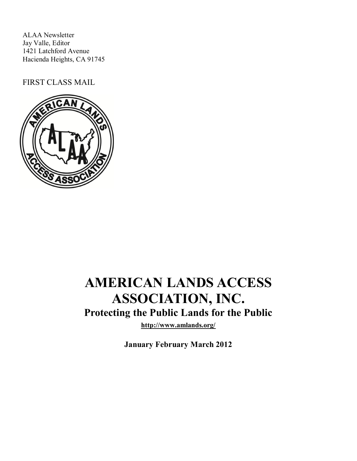ALAA Newsletter Jay Valle, Editor 1421 Latchford Avenue Hacienda Heights, CA 91745

FIRST CLASS MAIL



# **AMERICAN LANDS ACCESS ASSOCIATION, INC. Protecting the Public Lands for the Public**

**http://www.amlands.org/**

**January February March 2012**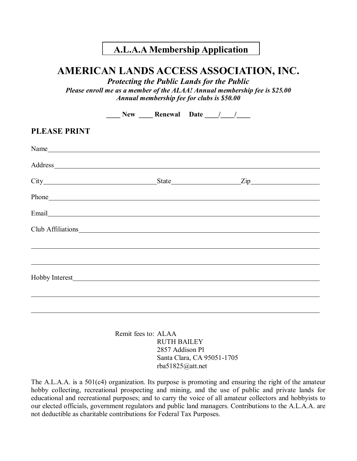## **A.L.A.A Membership Application**

## **AMERICAN LANDS ACCESS ASSOCIATION, INC.**

*Protecting the Public Lands for the Public Please enroll me as a member of the ALAA! Annual membership fee is \$25.00 Annual membership fee for clubs is \$50.00*

|                                                                                                                                                                                                                                | $\sqrt{N}$ New Renewal Date / / |  |  |  |
|--------------------------------------------------------------------------------------------------------------------------------------------------------------------------------------------------------------------------------|---------------------------------|--|--|--|
| <b>PLEASE PRINT</b>                                                                                                                                                                                                            |                                 |  |  |  |
| Name                                                                                                                                                                                                                           |                                 |  |  |  |
| Address and the contract of the contract of the contract of the contract of the contract of the contract of the contract of the contract of the contract of the contract of the contract of the contract of the contract of th |                                 |  |  |  |
|                                                                                                                                                                                                                                |                                 |  |  |  |
| Phone https://www.archive.com/communications/communications/communications/communications/communications/communications/communications/communications/communications/communications/communications/communications/communicatio |                                 |  |  |  |
|                                                                                                                                                                                                                                |                                 |  |  |  |
| Club Affiliations                                                                                                                                                                                                              |                                 |  |  |  |
|                                                                                                                                                                                                                                |                                 |  |  |  |
|                                                                                                                                                                                                                                |                                 |  |  |  |
|                                                                                                                                                                                                                                |                                 |  |  |  |
|                                                                                                                                                                                                                                |                                 |  |  |  |
|                                                                                                                                                                                                                                |                                 |  |  |  |
|                                                                                                                                                                                                                                |                                 |  |  |  |

Remit fees to: ALAA RUTH BAILEY 2857 Addison Pl Santa Clara, CA 95051-1705 rba51825@att.net

The A.L.A.A. is a 501(c4) organization. Its purpose is promoting and ensuring the right of the amateur hobby collecting, recreational prospecting and mining, and the use of public and private lands for educational and recreational purposes; and to carry the voice of all amateur collectors and hobbyists to our elected officials, government regulators and public land managers. Contributions to the A.L.A.A. are not deductible as charitable contributions for Federal Tax Purposes.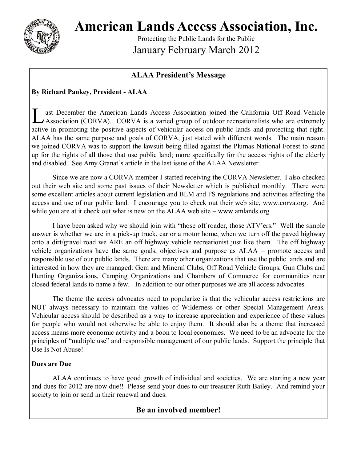

**American Lands Access Association, Inc.**

Protecting the Public Lands for the Public January February March 2012

#### **ALAA President's Message**

#### **By Richard Pankey, President - ALAA**

L ast December the American Lands Access Association joined the California Off Road Vehicle<br>Association (CORVA). CORVA is a varied group of outdoor recreationalists who are extremely ast December the American Lands Access Association joined the California Off Road Vehicle active in promoting the positive aspects of vehicular access on public lands and protecting that right. ALAA has the same purpose and goals of CORVA, just stated with different words. The main reason we joined CORVA was to support the lawsuit being filled against the Plumas National Forest to stand up for the rights of all those that use public land; more specifically for the access rights of the elderly and disabled. See Amy Granat's article in the last issue of the ALAA Newsletter.

Since we are now a CORVA member I started receiving the CORVA Newsletter. I also checked out their web site and some past issues of their Newsletter which is published monthly. There were some excellent articles about current legislation and BLM and FS regulations and activities affecting the access and use of our public land. I encourage you to check out their web site, www.corva.org. And while you are at it check out what is new on the ALAA web site – www.amlands.org.

I have been asked why we should join with "those off roader, those ATV'ers." Well the simple answer is whether we are in a pick-up truck, car or a motor home, when we turn off the paved highway onto a dirt/gravel road we ARE an off highway vehicle recreationist just like them. The off highway vehicle organizations have the same goals, objectives and purpose as ALAA – promote access and responsible use of our public lands. There are many other organizations that use the public lands and are interested in how they are managed: Gem and Mineral Clubs, Off Road Vehicle Groups, Gun Clubs and Hunting Organizations, Camping Organizations and Chambers of Commerce for communities near closed federal lands to name a few. In addition to our other purposes we are all access advocates.

The theme the access advocates need to popularize is that the vehicular access restrictions are NOT always necessary to maintain the values of Wilderness or other Special Management Areas. Vehicular access should be described as a way to increase appreciation and experience of these values for people who would not otherwise be able to enjoy them. It should also be a theme that increased access means more economic activity and a boon to local economies. We need to be an advocate for the principles of "multiple use" and responsible management of our public lands. Support the principle that Use Is Not Abuse!

#### **Dues are Due**

ALAA continues to have good growth of individual and societies. We are starting a new year and dues for 2012 are now due!! Please send your dues to our treasurer Ruth Bailey. And remind your society to join or send in their renewal and dues.

#### **Be an involved member!**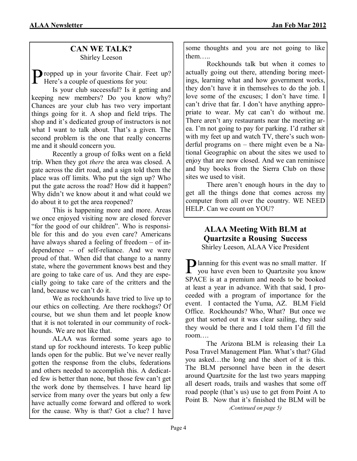#### **CAN WE TALK?** Shirley Leeson

Propped up in your favorite Chair. In Here's a couple of questions for you: **D** ropped up in your favorite Chair. Feet up?

Is your club successful? Is it getting and keeping new members? Do you know why? Chances are your club has two very important things going for it. A shop and field trips. The shop and it's dedicated group of instructors is not what I want to talk about. That's a given. The second problem is the one that really concerns me and it should concern you.

Recently a group of folks went on a field trip. When they got *there* the area was closed. A gate across the dirt road, and a sign told them the place was off limits. Who put the sign up? Who put the gate across the road? How did it happen? Why didn't we know about it and what could we do about it to get the area reopened?

This is happening more and more. Areas we once enjoyed visiting now are closed forever "for the good of our children". Who is responsible for this and do you even care? Americans have always shared a feeling of freedom – of independence -- of self-reliance. And we were proud of that. When did that change to a nanny state, where the government knows best and they are going to take care of us. And they are especially going to take care of the critters and the land, because we can't do it.

We as rockhounds have tried to live up to our ethics on collecting. Are there rockhogs? Of course, but we shun them and let people know that it is not tolerated in our community of rockhounds. We are not like that.

ALAA was formed some years ago to stand up for rockhound interests. To keep public lands open for the public. But we've never really gotten the response from the clubs, federations and others needed to accomplish this. A dedicated few is better than none, but those few can't get the work done by themselves. I have heard lip service from many over the years but only a few have actually come forward and offered to work for the cause. Why is that? Got a clue? I have some thoughts and you are not going to like them…..

Rockhounds talk but when it comes to actually going out there, attending boring meetings, learning what and how government works, they don't have it in themselves to do the job. I love some of the excuses; I don't have time. I can't drive that far. I don't have anything appropriate to wear. My cat can't do without me. There aren't any restaurants near the meeting area. I'm not going to pay for parking. I'd rather sit with my feet up and watch TV, there's such wonderful programs on – there might even be a National Geographic on about the sites we used to enjoy that are now closed. And we can reminisce and buy books from the Sierra Club on those sites we used to visit.

There aren't enough hours in the day to get all the things done that comes across my computer from all over the country. WE NEED HELP. Can we count on YOU?

#### **ALAA Meeting With BLM at Quartzsite a Rousing Success** Shirley Leeson, ALAA Vice President

**P** lanning for this event was no small matter. If you have even been to Quartzsite you know **D** lanning for this event was no small matter. If SPACE is at a premium and needs to be booked at least a year in advance. With that said, I proceeded with a program of importance for the event. I contacted the Yuma, AZ. BLM Field Office. Rockhounds? Who, What? But once we got that sorted out it was clear sailing, they said they would be there and I told them I'd fill the room….

The Arizona BLM is releasing their La Posa Travel Management Plan. What's that? Glad you asked…the long and the short of it is this. The BLM personnel have been in the desert around Quartzsite for the last two years mapping all desert roads, trails and washes that some off road people (that's us) use to get from Point A to Point B. Now that it's finished the BLM will be

*(Continued on page 5)*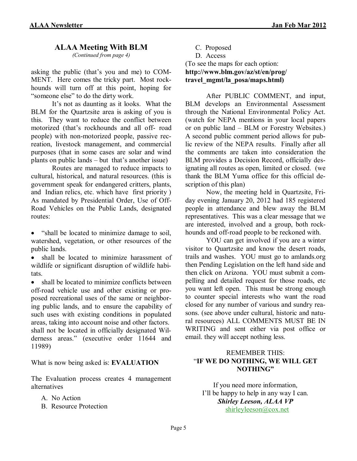#### **ALAA Meeting With BLM**

*(Continued from page 4)*

asking the public (that's you and me) to COM-MENT. Here comes the tricky part. Most rockhounds will turn off at this point, hoping for "someone else" to do the dirty work.

It's not as daunting as it looks. What the BLM for the Quartzsite area is asking of you is this. They want to reduce the conflict between motorized (that's rockhounds and all off- road people) with non-motorized people, passive recreation, livestock management, and commercial purposes (that in some cases are solar and wind plants on public lands – but that's another issue)

Routes are managed to reduce impacts to cultural, historical, and natural resources. (this is government speak for endangered critters, plants, and Indian relics, etc. which have first priority ) As mandated by Presidential Order, Use of Off-Road Vehicles on the Public Lands, designated routes:

• "shall be located to minimize damage to soil, watershed, vegetation, or other resources of the public lands.

 shall be located to minimize harassment of wildlife or significant disruption of wildlife habitats.

 shall be located to minimize conflicts between off-road vehicle use and other existing or proposed recreational uses of the same or neighboring public lands, and to ensure the capability of such uses with existing conditions in populated areas, taking into account noise and other factors. shall not be located in officially designated Wilderness areas." (executive order 11644 and 11989)

What is now being asked is: **EVALUATION**

The Evaluation process creates 4 management alternatives

A. No Action

B. Resource Protection

C. Proposed D. Access (To see the maps for each option: **http://www.blm.gov/az/st/en/prog/ travel\_mgmt/la\_posa/maps.html)**

After PUBLIC COMMENT, and input, BLM develops an Environmental Assessment through the National Environmental Policy Act. (watch for NEPA mentions in your local papers or on public land – BLM or Forestry Websites.) A second public comment period allows for public review of the NEPA results. Finally after all the comments are taken into consideration the BLM provides a Decision Record, officially designating all routes as open, limited or closed. (we thank the BLM Yuma office for this official description of this plan)

Now, the meeting held in Quartzsite, Friday evening January 20, 2012 had 185 registered people in attendance and blew away the BLM representatives. This was a clear message that we are interested, involved and a group, both rockhounds and off-road people to be reckoned with.

YOU can get involved if you are a winter visitor to Quartzsite and know the desert roads, trails and washes. YOU must go to amlands.org then Pending Legislation on the left hand side and then click on Arizona. YOU must submit a compelling and detailed request for those roads, etc you want left open. This must be strong enough to counter special interests who want the road closed for any number of various and sundry reasons. (see above under cultural, historic and natural resources) ALL COMMENTS MUST BE IN WRITING and sent either via post office or email. they will accept nothing less.

#### REMEMBER THIS: "**IF WE DO NOTHING, WE WILL GET NOTHING"**

If you need more information, I'll be happy to help in any way I can. *Shirley Leeson, ALAA VP* [shirleyleeson@cox.net](mailto:shirleyleeson@cox.net)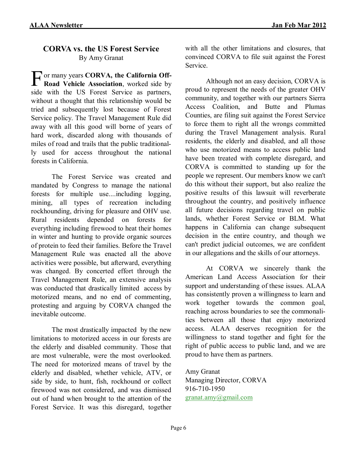#### **CORVA vs. the US Forest Service** By Amy Granat

F or many years **CORVA, the California Off-Road Vehicle Association**, worked side by side with the US Forest Service as partners, without a thought that this relationship would be tried and subsequently lost because of Forest Service policy. The Travel Management Rule did away with all this good will borne of years of hard work, discarded along with thousands of miles of road and trails that the public traditionally used for access throughout the national forests in California.

The Forest Service was created and mandated by Congress to manage the national forests for multiple use....including logging, mining, all types of recreation including rockhounding, driving for pleasure and OHV use. Rural residents depended on forests for everything including firewood to heat their homes in winter and hunting to provide organic sources of protein to feed their families. Before the Travel Management Rule was enacted all the above activities were possible, but afterward, everything was changed. By concerted effort through the Travel Management Rule, an extensive analysis was conducted that drastically limited access by motorized means, and no end of commenting, protesting and arguing by CORVA changed the inevitable outcome.

The most drastically impacted by the new limitations to motorized access in our forests are the elderly and disabled community. Those that are most vulnerable, were the most overlooked. The need for motorized means of travel by the elderly and disabled, whether vehicle, ATV, or side by side, to hunt, fish, rockhound or collect firewood was not considered, and was dismissed out of hand when brought to the attention of the Forest Service. It was this disregard, together with all the other limitations and closures, that convinced CORVA to file suit against the Forest Service.

Although not an easy decision, CORVA is proud to represent the needs of the greater OHV community, and together with our partners Sierra Access Coalition, and Butte and Plumas Counties, are filing suit against the Forest Service to force them to right all the wrongs committed during the Travel Management analysis. Rural residents, the elderly and disabled, and all those who use motorized means to access public land have been treated with complete disregard, and CORVA is committed to standing up for the people we represent. Our members know we can't do this without their support, but also realize the positive results of this lawsuit will reverberate throughout the country, and positively influence all future decisions regarding travel on public lands, whether Forest Service or BLM. What happens in California can change subsequent decision in the entire country, and though we can't predict judicial outcomes, we are confident in our allegations and the skills of our attorneys.

At CORVA we sincerely thank the American Land Access Association for their support and understanding of these issues. ALAA has consistently proven a willingness to learn and work together towards the common goal, reaching across boundaries to see the commonalities between all those that enjoy motorized access. ALAA deserves recognition for the willingness to stand together and fight for the right of public access to public land, and we are proud to have them as partners.

Amy Granat Managing Director, CORVA 916-710-1950 [granat.amy@gmail.com](mailto:granat.amy@gmail.com)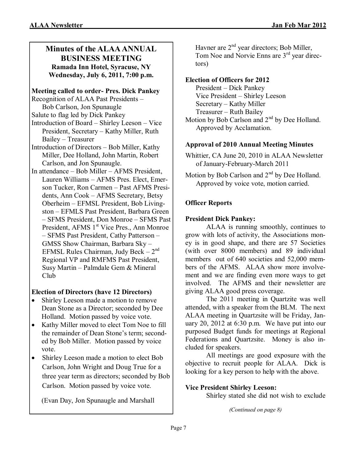#### **Minutes of the ALAA ANNUAL BUSINESS MEETING Ramada Inn Hotel, Syracuse, NY Wednesday, July 6, 2011, 7:00 p.m.**

#### **Meeting called to order- Pres. Dick Pankey**

- Recognition of ALAA Past Presidents Bob Carlson, Jon Spunaugle
- Salute to flag led by Dick Pankey
- Introduction of Board Shirley Leeson Vice President, Secretary – Kathy Miller, Ruth Bailey – Treasurer
- Introduction of Directors Bob Miller, Kathy Miller, Dee Holland, John Martin, Robert Carlson, and Jon Spunaugle.
- In attendance Bob Miller AFMS President, Lauren Williams – AFMS Pres. Elect, Emerson Tucker, Ron Carmen – Past AFMS Presidents, Ann Cook – AFMS Secretary, Betsy Oberheim – EFMSL President, Bob Livingston – EFMLS Past President, Barbara Green – SFMS President, Don Monroe – SFMS Past President, AFMS 1<sup>st</sup> Vice Pres., Ann Monroe – SFMS Past President, Cathy Patterson – GMSS Show Chairman, Barbara Sky – EFMSL Rules Chairman, Judy Beck - 2<sup>nd</sup> Regional VP and RMFMS Past President, Susy Martin – Palmdale Gem & Mineral Club

#### **Election of Directors (have 12 Directors)**

- Shirley Leeson made a motion to remove Dean Stone as a Director; seconded by Dee Holland. Motion passed by voice vote.
- Kathy Miller moved to elect Tom Noe to fill the remainder of Dean Stone's term; seconded by Bob Miller. Motion passed by voice vote.
- Shirley Leeson made a motion to elect Bob Carlson, John Wright and Doug True for a three year term as directors; seconded by Bob Carlson. Motion passed by voice vote.

(Evan Day, Jon Spunaugle and Marshall

Havner are  $2<sup>nd</sup>$  year directors; Bob Miller, Tom Noe and Norvie Enns are 3<sup>rd</sup> year directors)

#### **Election of Officers for 2012**

President – Dick Pankey Vice President – Shirley Leeson Secretary – Kathy Miller

Treasurer – Ruth Bailey

Motion by Bob Carlson and 2<sup>nd</sup> by Dee Holland. Approved by Acclamation.

#### **Approval of 2010 Annual Meeting Minutes**

Whittier, CA June 20, 2010 in ALAA Newsletter of January-February-March 2011

Motion by Bob Carlson and 2<sup>nd</sup> by Dee Holland. Approved by voice vote, motion carried.

#### **Officer Reports**

#### **President Dick Pankey:**

ALAA is running smoothly, continues to grow with lots of activity, the Associations money is in good shape, and there are 57 Societies (with over 8000 members) and 89 individual members out of 640 societies and 52,000 members of the AFMS. ALAA show more involvement and we are finding even more ways to get involved. The AFMS and their newsletter are giving ALAA good press coverage.

The 2011 meeting in Quartzite was well attended, with a speaker from the BLM. The next ALAA meeting in Quartzsite will be Friday, January 20, 2012 at 6:30 p.m. We have put into our purposed Budget funds for meetings at Regional Federations and Quartzsite. Money is also included for speakers.

All meetings are good exposure with the objective to recruit people for ALAA. Dick is looking for a key person to help with the above.

#### **Vice President Shirley Leeson:**

Shirley stated she did not wish to exclude

*(Continued on page 8)*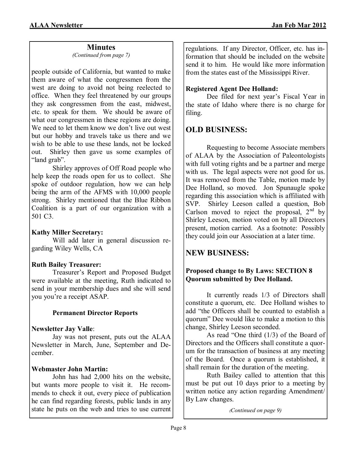#### **Minutes**

*(Continued from page 7)*

people outside of California, but wanted to make them aware of what the congressmen from the west are doing to avoid not being reelected to office. When they feel threatened by our groups they ask congressmen from the east, midwest, etc. to speak for them. We should be aware of what our congressmen in these regions are doing. We need to let them know we don't live out west but our hobby and travels take us there and we wish to be able to use these lands, not be locked out. Shirley then gave us some examples of "land grab".

Shirley approves of Off Road people who help keep the roads open for us to collect. She spoke of outdoor regulation, how we can help being the arm of the AFMS with 10,000 people strong. Shirley mentioned that the Blue Ribbon Coalition is a part of our organization with a 501 C3.

#### **Kathy Miller Secretary:**

Will add later in general discussion regarding Wiley Wells, CA

#### **Ruth Bailey Treasurer:**

Treasurer's Report and Proposed Budget were available at the meeting, Ruth indicated to send in your membership dues and she will send you you're a receipt ASAP.

#### **Permanent Director Reports**

#### **Newsletter Jay Valle**:

Jay was not present, puts out the ALAA Newsletter in March, June, September and December.

#### **Webmaster John Martin:**

John has had 2,000 hits on the website, but wants more people to visit it. He recommends to check it out, every piece of publication he can find regarding forests, public lands in any state he puts on the web and tries to use current regulations. If any Director, Officer, etc. has information that should be included on the website send it to him. He would like more information from the states east of the Mississippi River.

### **Registered Agent Dee Holland:**

Dee filed for next year's Fiscal Year in the state of Idaho where there is no charge for filing.

## **OLD BUSINESS:**

Requesting to become Associate members of ALAA by the Association of Paleontologists with full voting rights and be a partner and merge with us. The legal aspects were not good for us. It was removed from the Table, motion made by Dee Holland, so moved. Jon Spunaugle spoke regarding this association which is affiliated with SVP. Shirley Leeson called a question, Bob Carlson moved to reject the proposal,  $2<sup>nd</sup>$  by Shirley Leeson, motion voted on by all Directors present, motion carried. As a footnote: Possibly they could join our Association at a later time.

## **NEW BUSINESS:**

#### **Proposed change to By Laws: SECTION 8 Quorum submitted by Dee Holland.**

It currently reads 1/3 of Directors shall constitute a quorum, etc. Dee Holland wishes to add "the Officers shall be counted to establish a quorum" Dee would like to make a motion to this change, Shirley Leeson seconded.

As read "One third (1/3) of the Board of Directors and the Officers shall constitute a quorum for the transaction of business at any meeting of the Board. Once a quorum is established, it shall remain for the duration of the meeting.

Ruth Bailey called to attention that this must be put out 10 days prior to a meeting by written notice any action regarding Amendment/ By Law changes.

*(Continued on page 9)*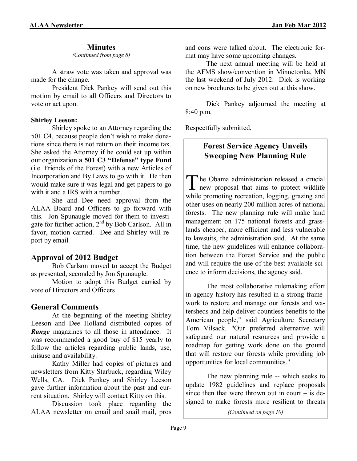#### **Minutes**

*(Continued from page 8)*

A straw vote was taken and approval was made for the change.

President Dick Pankey will send out this motion by email to all Officers and Directors to vote or act upon.

#### **Shirley Leeson:**

Shirley spoke to an Attorney regarding the 501 C4, because people don't wish to make donations since there is not return on their income tax. She asked the Attorney if he could set up within our organization **a 501 C3 "Defense" type Fund** (i.e. Friends of the Forest) with a new Articles of Incorporation and By Laws to go with it. He then would make sure it was legal and get papers to go with it and a IRS with a number.

She and Dee need approval from the ALAA Board and Officers to go forward with this. Jon Spunaugle moved for them to investigate for further action, 2nd by Bob Carlson. All in favor, motion carried. Dee and Shirley will report by email.

#### **Approval of 2012 Budget**

Bob Carlson moved to accept the Budget as presented, seconded by Jon Spunaugle.

Motion to adopt this Budget carried by vote of Directors and Officers

#### **General Comments**

At the beginning of the meeting Shirley Leeson and Dee Holland distributed copies of **Range** magazines to all those in attendance. It was recommended a good buy of \$15 yearly to follow the articles regarding public lands, use, misuse and availability.

Kathy Miller had copies of pictures and newsletters from Kitty Starbuck, regarding Wiley Wells, CA. Dick Pankey and Shirley Leeson gave further information about the past and current situation. Shirley will contact Kitty on this.

Discussion took place regarding the ALAA newsletter on email and snail mail, pros

and cons were talked about. The electronic format may have some upcoming changes.

The next annual meeting will be held at the AFMS show/convention in Minnetonka, MN the last weekend of July 2012. Dick is working on new brochures to be given out at this show.

Dick Pankey adjourned the meeting at 8:40 p.m.

Respectfully submitted,

### **Forest Service Agency Unveils Sweeping New Planning Rule**

The Obama administration released a crucial<br>new proposal that aims to protect wildlife The Obama administration released a crucial while promoting recreation, logging, grazing and other uses on nearly 200 million acres of national forests. The new planning rule will make land management on 175 national forests and grasslands cheaper, more efficient and less vulnerable to lawsuits, the administration said. At the same time, the new guidelines will enhance collaboration between the Forest Service and the public and will require the use of the best available science to inform decisions, the agency said.

The most collaborative rulemaking effort in agency history has resulted in a strong framework to restore and manage our forests and watersheds and help deliver countless benefits to the American people," said Agriculture Secretary Tom Vilsack. "Our preferred alternative will safeguard our natural resources and provide a roadmap for getting work done on the ground that will restore our forests while providing job opportunities for local communities."

The new planning rule -- which seeks to update 1982 guidelines and replace proposals since then that were thrown out in court  $-$  is designed to make forests more resilient to threats

*(Continued on page 10)*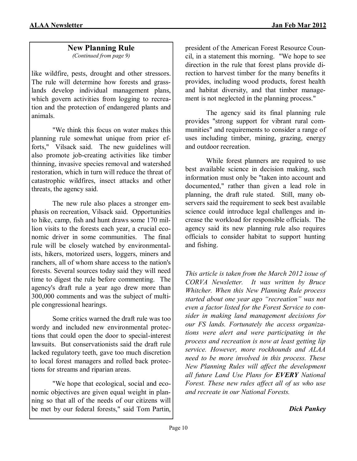## **New Planning Rule**

*(Continued from page 9)*

like wildfire, pests, drought and other stressors. The rule will determine how forests and grasslands develop individual management plans, which govern activities from logging to recreation and the protection of endangered plants and animals.

"We think this focus on water makes this planning rule somewhat unique from prior efforts," Vilsack said. The new guidelines will also promote job-creating activities like timber thinning, invasive species removal and watershed restoration, which in turn will reduce the threat of catastrophic wildfires, insect attacks and other threats, the agency said.

The new rule also places a stronger emphasis on recreation, Vilsack said. Opportunities to hike, camp, fish and hunt draws some 170 million visits to the forests each year, a crucial economic driver in some communities. The final rule will be closely watched by environmentalists, hikers, motorized users, loggers, miners and ranchers, all of whom share access to the nation's forests. Several sources today said they will need time to digest the rule before commenting. The agency's draft rule a year ago drew more than 300,000 comments and was the subject of multiple congressional hearings.

Some critics warned the draft rule was too wordy and included new environmental protections that could open the door to special-interest lawsuits. But conservationists said the draft rule lacked regulatory teeth, gave too much discretion to local forest managers and rolled back protections for streams and riparian areas.

"We hope that ecological, social and economic objectives are given equal weight in planning so that all of the needs of our citizens will be met by our federal forests," said Tom Partin,

president of the American Forest Resource Council, in a statement this morning. "We hope to see direction in the rule that forest plans provide direction to harvest timber for the many benefits it provides, including wood products, forest health and habitat diversity, and that timber management is not neglected in the planning process."

The agency said its final planning rule provides "strong support for vibrant rural communities" and requirements to consider a range of uses including timber, mining, grazing, energy and outdoor recreation.

While forest planners are required to use best available science in decision making, such information must only be "taken into account and documented," rather than given a lead role in planning, the draft rule stated. Still, many observers said the requirement to seek best available science could introduce legal challenges and increase the workload for responsible officials. The agency said its new planning rule also requires officials to consider habitat to support hunting and fishing.

*This article is taken from the March 2012 issue of CORVA Newsletter. It was written by Bruce Whitcher. When this New Planning Rule process started about one year ago "recreation" was not even a factor listed for the Forest Service to consider in making land management decisions for our FS lands. Fortunately the access organizations were alert and were participating in the process and recreation is now at least getting lip service. However, more rockhounds and ALAA need to be more involved in this process. These New Planning Rules will affect the development all future Land Use Plans for EVERY National Forest. These new rules affect all of us who use and recreate in our National Forests.*

#### *Dick Pankey*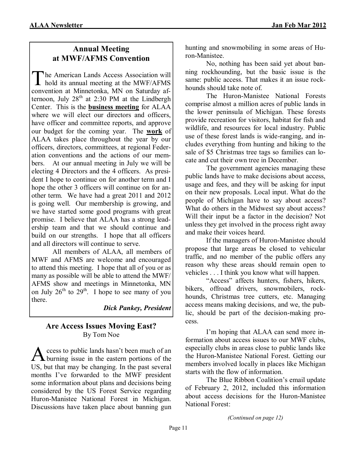### **Annual Meeting at MWF/AFMS Convention**

The American Lands Access Association will<br>hold its annual meeting at the MWF/AFMS he American Lands Access Association will convention at Minnetonka, MN on Saturday afternoon, July  $28<sup>th</sup>$  at  $2:30$  PM at the Lindbergh Center. This is the **business meeting** for ALAA where we will elect our directors and officers, have officer and committee reports, and approve our budget for the coming year. The **work** of ALAA takes place throughout the year by our officers, directors, committees, at regional Federation conventions and the actions of our members. At our annual meeting in July we will be electing 4 Directors and the 4 officers. As president I hope to continue on for another term and I hope the other 3 officers will continue on for another term. We have had a great 2011 and 2012 is going well. Our membership is growing, and we have started some good programs with great promise. I believe that ALAA has a strong leadership team and that we should continue and build on our strengths. I hope that all officers and all directors will continue to serve.

All members of ALAA, all members of MWF and AFMS are welcome and encouraged to attend this meeting. I hope that all of you or as many as possible will be able to attend the MWF/ AFMS show and meetings in Minnetonka, MN on July  $26^{th}$  to  $29^{th}$ . I hope to see many of you there.

#### *Dick Pankey, President*

#### **Are Access Issues Moving East?** By Tom Noe

A ccess to public lands hasn't been much of an burning issue in the eastern portions of the ccess to public lands hasn't been much of an US, but that may be changing. In the past several months I've forwarded to the MWF president some information about plans and decisions being considered by the US Forest Service regarding Huron-Manistee National Forest in Michigan. Discussions have taken place about banning gun

hunting and snowmobiling in some areas of Huron-Manistee.

No, nothing has been said yet about banning rockhounding, but the basic issue is the same: public access. That makes it an issue rockhounds should take note of.

The Huron-Manistee National Forests comprise almost a million acres of public lands in the lower peninsula of Michigan. These forests provide recreation for visitors, habitat for fish and wildlife, and resources for local industry. Public use of these forest lands is wide-ranging, and includes everything from hunting and hiking to the sale of \$5 Christmas tree tags so families can locate and cut their own tree in December.

The government agencies managing these public lands have to make decisions about access, usage and fees, and they will be asking for input on their new proposals. Local input. What do the people of Michigan have to say about access? What do others in the Midwest say about access? Will their input be a factor in the decision? Not unless they get involved in the process right away and make their voices heard.

If the managers of Huron-Manistee should propose that large areas be closed to vehicular traffic, and no member of the public offers any reason why these areas should remain open to vehicles . . . I think you know what will happen.

"Access" affects hunters, fishers, hikers, bikers, offroad drivers, snowmobilers, rockhounds, Christmas tree cutters, etc. Managing access means making decisions, and we, the public, should be part of the decision-making process.

I'm hoping that ALAA can send more information about access issues to our MWF clubs, especially clubs in areas close to public lands like the Huron-Manistee National Forest. Getting our members involved locally in places like Michigan starts with the flow of information.

The Blue Ribbon Coalition's email update of February 2, 2012, included this information about access decisions for the Huron-Manistee National Forest:

*(Continued on page 12)*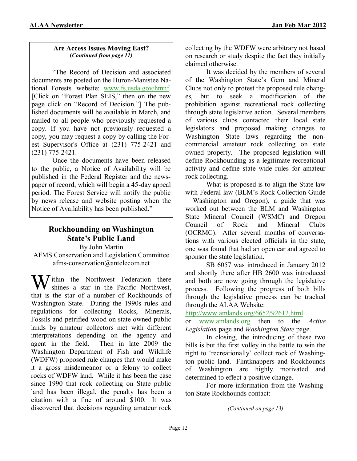#### **Are Access Issues Moving East? (***Continued from page 11)*

"The Record of Decision and associated documents are posted on the Huron-Manistee National Forests' website: [www.fs.usda.gov/hmnf.](http://www.fs.usda.gov/hmnf) [Click on "Forest Plan SEIS," then on the new page click on "Record of Decision."] The published documents will be available in March, and mailed to all people who previously requested a copy. If you have not previously requested a copy, you may request a copy by calling the Forest Supervisor's Office at (231) 775-2421 and (231) 775-2421.

Once the documents have been released to the public, a Notice of Availability will be published in the Federal Register and the newspaper of record, which will begin a 45-day appeal period. The Forest Service will notify the public by news release and website posting when the Notice of Availability has been published."

#### **Rockhounding on Washington State's Public Land** By John Martin

AFMS Conservation and Legislation Committee afms-conservation@antelecom.net

 $\sum$ ithin the Northwest Federation there shines a star in the Pacific Northwest, that is the star of a number of Rockhounds of Washington State. During the 1990s rules and regulations for collecting Rocks, Minerals, Fossils and petrified wood on state owned public lands by amateur collectors met with different interpretations depending on the agency and agent in the field. Then in late 2009 the Washington Department of Fish and Wildlife (WDFW) proposed rule changes that would make it a gross misdemeanor or a felony to collect rocks of WDFW land. While it has been the case since 1990 that rock collecting on State public land has been illegal, the penalty has been a citation with a fine of around \$100. It was discovered that decisions regarding amateur rock collecting by the WDFW were arbitrary not based on research or study despite the fact they initially claimed otherwise.

It was decided by the members of several of the Washington State's Gem and Mineral Clubs not only to protest the proposed rule changes, but to seek a modification of the prohibition against recreational rock collecting through state legislative action. Several members of various clubs contacted their local state legislators and proposed making changes to Washington State laws regarding the noncommercial amateur rock collecting on state owned property. The proposed legislation will define Rockhounding as a legitimate recreational activity and define state wide rules for amateur rock collecting.

What is proposed is to align the State law with Federal law (BLM's Rock Collection Guide – Washington and Oregon), a guide that was worked out between the BLM and Washington State Mineral Council (WSMC) and Oregon Council of Rock and Mineral Clubs (OCRMC). After several months of conversations with various elected officials in the state, one was found that had an open ear and agreed to sponsor the state legislation.

SB 6057 was introduced in January 2012 and shortly there after HB 2600 was introduced and both are now going through the legislative process. Following the progress of both bills through the legislative process can be tracked through the ALAA Website:

<http://www.amlands.org/6652/92612.html>

or [www.amlands.org](http://www.amlands.org/) then to the *Active Legislation* page and *Washington State* page.

In closing, the introducing of these two bills is but the first volley in the battle to win the right to 'recreationally' collect rock of Washington public land. Flintknappers and Rockhounds of Washington are highly motivated and determined to effect a positive change.

For more information from the Washington State Rockhounds contact:

*(Continued on page 13)*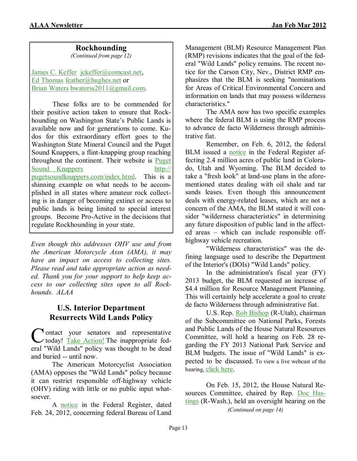#### **Rockhounding**

*(Continued from page 12)*

[James C. Keffer jckeffer@comcast.net,](mailto:jckeffer@comcast.net) [Ed Thomas](mailto:feather@hughes.net) [feather@hughes.net](mailto:feather@hughes.net) or [Brian Waters](mailto:bwaterss2011@gmail.com) [bwaterss2011@gmail.com.](mailto:bwaterss2011@gmail.com)

These folks are to be commended for their positive action taken to ensure that Rockhounding on Washington State's Public Lands is available now and for generations to come. Kudos for this extraordinary effort goes to the Washington State Mineral Council and the Puget Sound Knappers, a flint-knapping group reaching throughout the continent. Their website is [Puget](http://pugetsoundknappers.com/index.html)  [Sound Knappers http://](http://pugetsoundknappers.com/index.html) [pugetsoundknappers.com/index.html.](http://pugetsoundknappers.com/index.html) This is a shinning example on what needs to be accomplished in all states where amateur rock collecting is in danger of becoming extinct or access to public lands is being limited to special interest groups. Become Pro-Active in the decisions that regulate Rockhounding in your state.

*Even though this addresses OHV use and from the American Motorcycle Assn (AMA), it may have an impact on access to collecting sites. Please read and take appropriate action as needed. Thank you for your support to help keep access to our collecting sites open to all Rockhounds. ALAA*

#### **U.S. Interior Department Resurrects Wild Lands Policy**

Contact your senators and representative<br>today! Take [Action!](http://capwiz.com/amacycle/utr/1/EMEDRKULAZ/HCNFRKULTS/7976369671) The inappropriate fed-I ontact your senators and representative eral "Wild Lands" policy was thought to be dead and buried -- until now.

The American Motorcyclist Association (AMA) opposes the "Wild Lands" policy because it can restrict responsible off-highway vehicle (OHV) riding with little or no public input whatsoever.

A [notice](http://capwiz.com/amacycle/utr/1/EMEDRKULAZ/OGHKRKULTT/7976369671) in the Federal Register, dated Feb. 24, 2012, concerning federal Bureau of Land

Management (BLM) Resource Management Plan (RMP) revisions indicates that the goal of the federal "Wild Lands" policy remains. The recent notice for the Carson City, Nev., District RMP emphasizes that the BLM is seeking "nominations for Areas of Critical Environmental Concern and information on lands that may possess wilderness characteristics."

The AMA now has two specific examples where the federal BLM is using the RMP process to advance de facto Wilderness through administrative fiat.

Remember, on Feb. 6, 2012, the federal BLM issued a [notice](http://capwiz.com/amacycle/utr/1/EMEDRKULAZ/AKCIRKULTU/7976369671) in the Federal Register affecting 2.4 million acres of public land in Colorado, Utah and Wyoming. The BLM decided to take a "fresh look" at land-use plans in the aforementioned states dealing with oil shale and tar sands leases. Even though this announcement deals with energy-related leases, which are not a concern of the AMA, the BLM stated it will consider "wilderness characteristics" in determining any future disposition of public land in the affected areas – which can include responsible offhighway vehicle recreation.

"Wilderness characteristics" was the defining language used to describe the Department of the Interior's (DOIs) "Wild Lands" policy.

In the administration's fiscal year (FY) 2013 budget, the BLM requested an increase of \$4.4 million for Resource Management Planning. This will certainly help accelerate a goal to create de facto Wilderness through administrative fiat.

U.S. Rep. [Rob Bishop](http://capwiz.com/amacycle/utr/1/EMEDRKULAZ/KTWDRKULTV/7976369671) (R-Utah), chairman of the Subcommittee on National Parks, Forests and Public Lands of the House Natural Resources Committee, will hold a hearing on Feb. 28 regarding the FY 2013 National Park Service and BLM budgets. The issue of "Wild Lands" is expected to be discussed. To view a live webcast of the hearing, [click here.](http://capwiz.com/amacycle/utr/1/EMEDRKULAZ/IYXCRKULTW/7976369671)

On Feb. 15, 2012, the House Natural Re-sources Committee, chaired by Rep. [Doc Has](http://capwiz.com/amacycle/utr/1/EMEDRKULAZ/LMOGRKULTX/7976369671)[tings](http://capwiz.com/amacycle/utr/1/EMEDRKULAZ/LMOGRKULTX/7976369671) (R-Wash.), held an oversight hearing on the *(Continued on page 14)*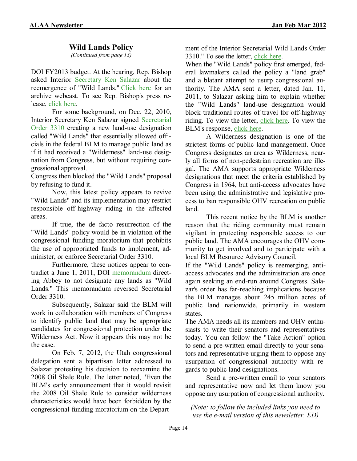#### **Wild Lands Policy**

*(Continued from page 13)*

DOI FY2013 budget. At the hearing, Rep. Bishop asked Interior [Secretary Ken Salazar](http://capwiz.com/amacycle/utr/1/EMEDRKULAZ/NHYJRKULTY/7976369671) about the reemergence of "Wild Lands." [Click here](http://capwiz.com/amacycle/utr/1/EMEDRKULAZ/FWNDRKULTZ/7976369671) for an archive webcast. To see Rep. Bishop's press release, [click here.](http://capwiz.com/amacycle/utr/1/EMEDRKULAZ/GXIDRKULUA/7976369671)

For some background, on Dec. 22, 2010, Interior Secretary Ken Salazar signed [Secretarial](http://capwiz.com/amacycle/utr/1/EMEDRKULAZ/AQZJRKULUB/7976369671)  [Order 3310](http://capwiz.com/amacycle/utr/1/EMEDRKULAZ/AQZJRKULUB/7976369671) creating a new land-use designation called "Wild Lands" that essentially allowed officials in the federal BLM to manage public land as if it had received a "Wilderness" land-use designation from Congress, but without requiring congressional approval.

Congress then blocked the "Wild Lands" proposal by refusing to fund it.

Now, this latest policy appears to revive "Wild Lands" and its implementation may restrict responsible off-highway riding in the affected areas.

If true, the de facto resurrection of the "Wild Lands" policy would be in violation of the congressional funding moratorium that prohibits the use of appropriated funds to implement, administer, or enforce Secretarial Order 3310.

Furthermore, these notices appear to contradict a June 1, 2011, DOI [memorandum](http://capwiz.com/amacycle/utr/1/EMEDRKULAZ/BEKIRKULUC/7976369671) directing Abbey to not designate any lands as "Wild Lands." This memorandum reversed Secretarial Order 3310.

Subsequently, Salazar said the BLM will work in collaboration with members of Congress to identify public land that may be appropriate candidates for congressional protection under the Wilderness Act. Now it appears this may not be the case.

On Feb. 7, 2012, the Utah congressional delegation sent a bipartisan letter addressed to Salazar protesting his decision to reexamine the 2008 Oil Shale Rule. The letter noted, "Even the BLM's early announcement that it would revisit the 2008 Oil Shale Rule to consider wilderness characteristics would have been forbidden by the congressional funding moratorium on the Department of the Interior Secretarial Wild Lands Order 3310." To see the letter, [click here.](http://capwiz.com/amacycle/utr/1/EMEDRKULAZ/BJOURKULUD/7976369671)

When the "Wild Lands" policy first emerged, federal lawmakers called the policy a "land grab" and a blatant attempt to usurp congressional authority. The AMA sent a letter, dated Jan. 11, 2011, to Salazar asking him to explain whether the "Wild Lands" land-use designation would block traditional routes of travel for off-highway riding. To view the letter, [click here.](http://capwiz.com/amacycle/utr/1/EMEDRKULAZ/HITURKULUE/7976369671) To view the BLM's response, [click here.](http://capwiz.com/amacycle/utr/1/EMEDRKULAZ/IARERKULUF/7976369671)

A Wilderness designation is one of the strictest forms of public land management. Once Congress designates an area as Wilderness, nearly all forms of non-pedestrian recreation are illegal. The AMA supports appropriate Wilderness designations that meet the criteria established by Congress in 1964, but anti-access advocates have been using the administrative and legislative process to ban responsible OHV recreation on public land.

This recent notice by the BLM is another reason that the riding community must remain vigilant in protecting responsible access to our public land. The AMA encourages the OHV community to get involved and to participate with a local BLM Resource Advisory Council.

If the "Wild Lands" policy is reemerging, antiaccess advocates and the administration are once again seeking an end-run around Congress. Salazar's order has far-reaching implications because the BLM manages about 245 million acres of public land nationwide, primarily in western states.

The AMA needs all its members and OHV enthusiasts to write their senators and representatives today. You can follow the "Take Action" option to send a pre-written email directly to your senators and representative urging them to oppose any usurpation of congressional authority with regards to public land designations.

Send a pre-written email to your senators and representative now and let them know you oppose any usurpation of congressional authority.

*(Note: to follow the included links you need to use the e-mail version of this newsletter. ED)*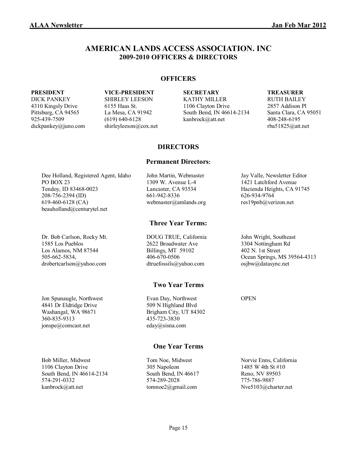#### **AMERICAN LANDS ACCESS ASSOCIATION. INC 2009-2010 OFFICERS & DIRECTORS**

#### **OFFICERS**

dickpankey@juno.com shirleyleeson@cox.net rba51825@att.net

DICK PANKEY SHIRLEY LEESON KATHY MILLER RUTH BAILEY 4310 Kingsly Drive 6155 Haas St. 1106 Clayton Drive 2857 Addison Pl<br>Pittsburg, CA 94565 La Mesa, CA 91942 South Bend, IN 46614-2134 Santa Clara, CA 95051 Pittsburg, CA 94565 La Mesa, CA 91942 South Bend, IN 46614-2134 925-439-7509 (619) 640-6128 kanbrock@att.net 408-248-6195

#### **PRESIDENT VICE-PRESIDENT SECRETARY TREASURER**

#### **DIRECTORS**

#### **Permanent Directors:**

Dee Holland, Registered Agent, Idaho John Martin, Webmaster Jay Valle, Newsletter Editor PO BOX 23 1309 W. Avenue L-4 1421 Latchford Avenue Tendoy, ID 83468-0023 Lancaster, CA 93534 Hacienda Heights, CA 91745 208-756-2394 (ID) 661-942-8336 626-934-9764 619-460-6128 (CA) webmaster@amlands.org res19pnb@verizon.net beauholland@centurytel.net

Dr. Bob Carlson, Rocky Mt. DOUG TRUE, California John Wright, Southeast 1585 Los Pueblos 2622 Broadwater Ave 3304 Nottingham Rd Los Alamos, NM 87544 Billings, MT 59102 402 N. 1st Street drobertcarlson@yahoo.com dtruefossils@yahoo.com osjbw@datasync.net

4841 Dr Eldridge Drive 509 N Highland Blvd Washangal, WA 98671 Brigham City, UT 84302 360-835-9313 435-723-3830 jonspe@comcast.net eday@sisna.com

Bob Miller, Midwest Tom Noe, Midwest Norvie Enns, California 1106 Clayton Drive 305 Napoleon 1485 W 4th St #10 South Bend, IN 46614-2134 South Bend, IN 46617 Reno, NV 89503 574-291-0332 574-289-2028 574-289-2028 574-289-2028 574-289-2028 775-786-9887 kanbrock@att.net tomnoe2@gmail.com Nve5103@charter.net

#### **Three Year Terms:**

#### **Two Year Terms**

Jon Spunaugle, Northwest Evan Day, Northwest OPEN

#### **One Year Terms**

505-662-5834, 406-670-0506 Ocean Springs, MS 39564-4313